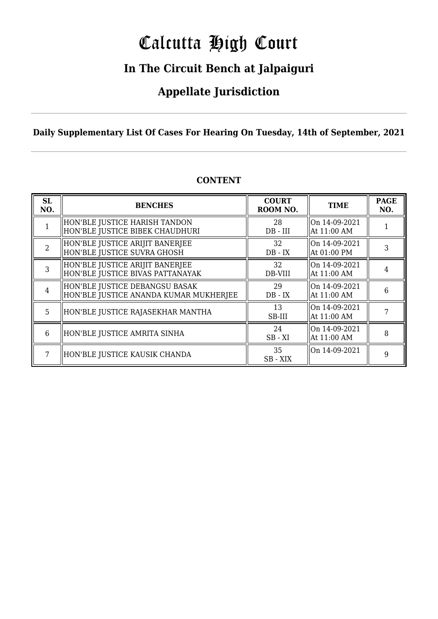# Calcutta High Court

## **In The Circuit Bench at Jalpaiguri**

### **Appellate Jurisdiction**

### **Daily Supplementary List Of Cases For Hearing On Tuesday, 14th of September, 2021**

| SL<br>NO.      | <b>BENCHES</b>                                                           | <b>COURT</b><br>ROOM NO. | <b>TIME</b>                    | <b>PAGE</b><br>NO. |
|----------------|--------------------------------------------------------------------------|--------------------------|--------------------------------|--------------------|
|                | HON'BLE JUSTICE HARISH TANDON<br>HON'BLE JUSTICE BIBEK CHAUDHURI         | 28<br>$DB$ - $III$       | On 14-09-2021<br>At 11:00 AM   |                    |
| $\overline{2}$ | HON'BLE JUSTICE ARIJIT BANERJEE<br>HON'BLE JUSTICE SUVRA GHOSH           | 32<br>$DB - IX$          | On 14-09-2021<br>  At 01:00 PM | 3                  |
|                | HON'BLE JUSTICE ARIJIT BANERJEE<br>HON'BLE JUSTICE BIVAS PATTANAYAK      | 32<br>DB-VIII            | On 14-09-2021<br>At 11:00 AM   |                    |
| $\overline{4}$ | HON'BLE JUSTICE DEBANGSU BASAK<br>HON'BLE JUSTICE ANANDA KUMAR MUKHERJEE | 29<br>$DB - IX$          | On 14-09-2021<br>At 11:00 AM   | 6                  |
| 5              | HON'BLE JUSTICE RAJASEKHAR MANTHA                                        | 13<br>SB-III             | On 14-09-2021<br>At 11:00 AM   |                    |
| 6              | HON'BLE JUSTICE AMRITA SINHA                                             | 24<br>$SB - XI$          | On 14-09-2021<br>At 11:00 AM   | 8                  |
|                | HON'BLE JUSTICE KAUSIK CHANDA                                            | 35<br>SB - XIX           | On 14-09-2021                  | 9                  |

### **CONTENT**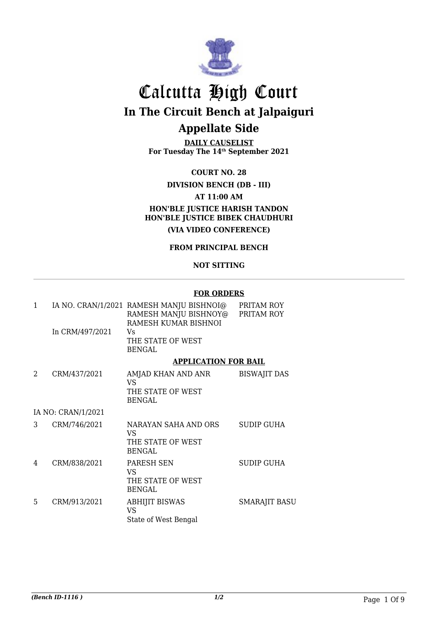

**DAILY CAUSELIST For Tuesday The 14th September 2021**

**COURT NO. 28**

**DIVISION BENCH (DB - III)**

**AT 11:00 AM**

**HON'BLE JUSTICE HARISH TANDON HON'BLE JUSTICE BIBEK CHAUDHURI (VIA VIDEO CONFERENCE)**

#### **FROM PRINCIPAL BENCH**

#### **NOT SITTING**

#### **FOR ORDERS**

| 1 |                    | IA NO. CRAN/1/2021 RAMESH MANJU BISHNOI@<br>RAMESH MANJU BISHNOY@ PRITAM ROY<br>RAMESH KUMAR BISHNOI | PRITAM ROY           |
|---|--------------------|------------------------------------------------------------------------------------------------------|----------------------|
|   | In CRM/497/2021    | Vs<br>THE STATE OF WEST<br><b>BENGAL</b>                                                             |                      |
|   |                    | <b>APPLICATION FOR BAIL</b>                                                                          |                      |
| 2 | CRM/437/2021       | AMJAD KHAN AND ANR<br>VS.<br>THE STATE OF WEST<br><b>BENGAL</b>                                      | <b>BISWAJIT DAS</b>  |
|   | IA NO: CRAN/1/2021 |                                                                                                      |                      |
| 3 | CRM/746/2021       | NARAYAN SAHA AND ORS<br>VS<br>THE STATE OF WEST<br><b>BENGAL</b>                                     | <b>SUDIP GUHA</b>    |
| 4 | CRM/838/2021       | PARESH SEN<br>VS<br>THE STATE OF WEST<br><b>BENGAL</b>                                               | <b>SUDIP GUHA</b>    |
| 5 | CRM/913/2021       | <b>ABHIJIT BISWAS</b><br><b>VS</b><br>State of West Bengal                                           | <b>SMARAJIT BASU</b> |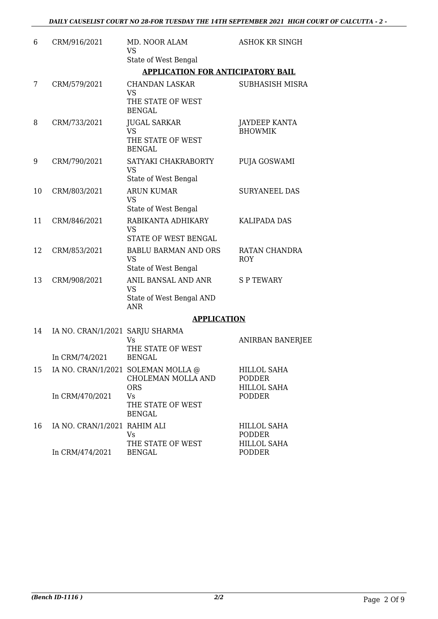| 6  | CRM/916/2021                                      | MD. NOOR ALAM<br><b>VS</b>                                               | <b>ASHOK KR SINGH</b>                              |
|----|---------------------------------------------------|--------------------------------------------------------------------------|----------------------------------------------------|
|    |                                                   | State of West Bengal                                                     |                                                    |
|    |                                                   | <b>APPLICATION FOR ANTICIPATORY BAIL</b>                                 |                                                    |
| 7  | CRM/579/2021                                      | <b>CHANDAN LASKAR</b><br><b>VS</b><br>THE STATE OF WEST<br><b>BENGAL</b> | <b>SUBHASISH MISRA</b>                             |
| 8  | CRM/733/2021                                      | <b>JUGAL SARKAR</b><br><b>VS</b><br>THE STATE OF WEST<br><b>BENGAL</b>   | <b>JAYDEEP KANTA</b><br><b>BHOWMIK</b>             |
| 9  | CRM/790/2021                                      | SATYAKI CHAKRABORTY<br><b>VS</b><br>State of West Bengal                 | PUJA GOSWAMI                                       |
| 10 | CRM/803/2021                                      | <b>ARUN KUMAR</b><br><b>VS</b><br>State of West Bengal                   | <b>SURYANEEL DAS</b>                               |
| 11 | CRM/846/2021                                      | RABIKANTA ADHIKARY<br><b>VS</b><br><b>STATE OF WEST BENGAL</b>           | <b>KALIPADA DAS</b>                                |
| 12 | CRM/853/2021                                      | <b>BABLU BARMAN AND ORS</b><br><b>VS</b><br>State of West Bengal         | RATAN CHANDRA<br><b>ROY</b>                        |
| 13 | CRM/908/2021                                      | ANIL BANSAL AND ANR<br><b>VS</b><br>State of West Bengal AND             | <b>SPTEWARY</b>                                    |
|    |                                                   | <b>ANR</b>                                                               |                                                    |
|    |                                                   | <b>APPLICATION</b>                                                       |                                                    |
| 14 | IA NO. CRAN/1/2021 SARJU SHARMA<br>In CRM/74/2021 | <b>Vs</b><br>THE STATE OF WEST<br><b>BENGAL</b>                          | ANIRBAN BANERJEE                                   |
| 15 |                                                   | IA NO. CRAN/1/2021 SOLEMAN MOLLA @<br>CHOLEMAN MOLLA AND                 | HILLOL SAHA<br><b>PODDER</b>                       |
|    | In CRM/470/2021                                   | <b>ORS</b><br><b>Vs</b><br>THE STATE OF WEST<br><b>BENGAL</b>            | <b>HILLOL SAHA</b><br><b>PODDER</b>                |
| 16 | IA NO. CRAN/1/2021 RAHIM ALI                      | Vs<br>THE STATE OF WEST                                                  | HILLOL SAHA<br><b>PODDER</b><br><b>HILLOL SAHA</b> |

In CRM/474/2021

BENGAL

PODDER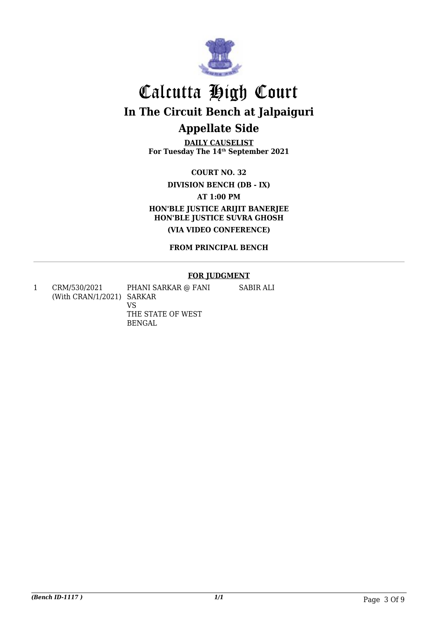

**DAILY CAUSELIST For Tuesday The 14th September 2021**

**COURT NO. 32**

**DIVISION BENCH (DB - IX)**

**AT 1:00 PM**

**HON'BLE JUSTICE ARIJIT BANERJEE HON'BLE JUSTICE SUVRA GHOSH**

**(VIA VIDEO CONFERENCE)**

**FROM PRINCIPAL BENCH**

#### **FOR JUDGMENT**

SABIR ALI

1 CRM/530/2021 (With CRAN/1/2021) SARKAR

PHANI SARKAR @ FANI VS THE STATE OF WEST BENGAL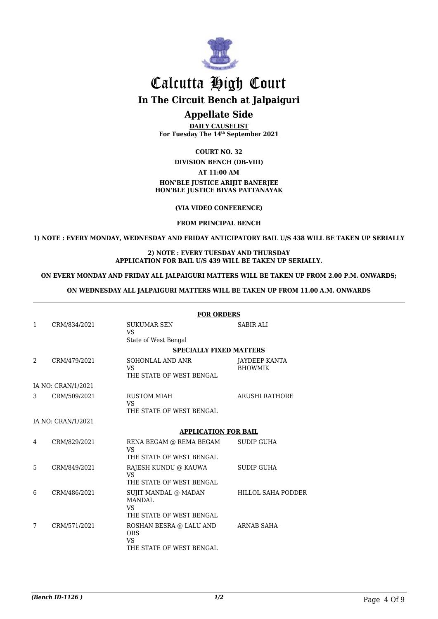

## Calcutta High Court **In The Circuit Bench at Jalpaiguri**

### **Appellate Side**

**DAILY CAUSELIST For Tuesday The 14th September 2021**

**COURT NO. 32**

#### **DIVISION BENCH (DB-VIII)**

**AT 11:00 AM**

#### **HON'BLE JUSTICE ARIJIT BANERJEE HON'BLE JUSTICE BIVAS PATTANAYAK**

**(VIA VIDEO CONFERENCE)**

**FROM PRINCIPAL BENCH**

**1) NOTE : EVERY MONDAY, WEDNESDAY AND FRIDAY ANTICIPATORY BAIL U/S 438 WILL BE TAKEN UP SERIALLY**

#### **2) NOTE : EVERY TUESDAY AND THURSDAY APPLICATION FOR BAIL U/S 439 WILL BE TAKEN UP SERIALLY.**

#### **ON EVERY MONDAY AND FRIDAY ALL JALPAIGURI MATTERS WILL BE TAKEN UP FROM 2.00 P.M. ONWARDS;**

#### **ON WEDNESDAY ALL JALPAIGURI MATTERS WILL BE TAKEN UP FROM 11.00 A.M. ONWARDS**

|               |                    | <b>FOR ORDERS</b>                                                        |                                        |  |
|---------------|--------------------|--------------------------------------------------------------------------|----------------------------------------|--|
| $\mathbf{1}$  | CRM/834/2021       | <b>SUKUMAR SEN</b><br>VS                                                 | <b>SABIR ALI</b>                       |  |
|               |                    | State of West Bengal                                                     |                                        |  |
|               |                    | <b>SPECIALLY FIXED MATTERS</b>                                           |                                        |  |
| $\mathcal{D}$ | CRM/479/2021       | <b>SOHONLAL AND ANR</b><br>VS<br>THE STATE OF WEST BENGAL                | <b>JAYDEEP KANTA</b><br><b>BHOWMIK</b> |  |
|               | IA NO: CRAN/1/2021 |                                                                          |                                        |  |
| 3             | CRM/509/2021       | <b>RUSTOM MIAH</b><br><b>VS</b><br>THE STATE OF WEST BENGAL              | <b>ARUSHI RATHORE</b>                  |  |
|               | IA NO: CRAN/1/2021 |                                                                          |                                        |  |
|               |                    | <b>APPLICATION FOR BAIL</b>                                              |                                        |  |
| 4             | CRM/829/2021       | RENA BEGAM @ REMA BEGAM<br>VS                                            | <b>SUDIP GUHA</b>                      |  |
|               |                    | THE STATE OF WEST BENGAL                                                 |                                        |  |
| 5             | CRM/849/2021       | RAJESH KUNDU @ KAUWA<br>VS.<br>THE STATE OF WEST BENGAL                  | <b>SUDIP GUHA</b>                      |  |
| 6             | CRM/486/2021       | SUJIT MANDAL @ MADAN                                                     | <b>HILLOL SAHA PODDER</b>              |  |
|               |                    | <b>MANDAL</b><br>VS.<br>THE STATE OF WEST BENGAL                         |                                        |  |
| 7             | CRM/571/2021       | ROSHAN BESRA @ LALU AND<br><b>ORS</b><br>VS.<br>THE STATE OF WEST BENGAL | ARNAB SAHA                             |  |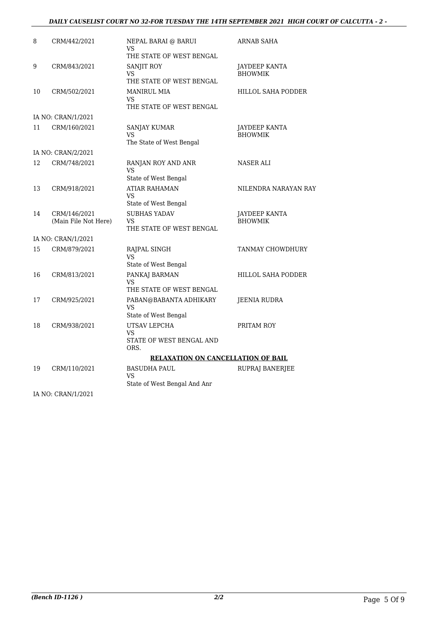#### *DAILY CAUSELIST COURT NO 32-FOR TUESDAY THE 14TH SEPTEMBER 2021 HIGH COURT OF CALCUTTA - 2 -*

| 8  | CRM/442/2021                         | NEPAL BARAI @ BARUI<br>VS<br>THE STATE OF WEST BENGAL            | <b>ARNAB SAHA</b>                      |
|----|--------------------------------------|------------------------------------------------------------------|----------------------------------------|
| 9  | CRM/843/2021                         | SANJIT ROY<br>VS<br>THE STATE OF WEST BENGAL                     | <b>JAYDEEP KANTA</b><br><b>BHOWMIK</b> |
| 10 | CRM/502/2021                         | <b>MANIRUL MIA</b><br><b>VS</b><br>THE STATE OF WEST BENGAL      | <b>HILLOL SAHA PODDER</b>              |
|    | IA NO: CRAN/1/2021                   |                                                                  |                                        |
| 11 | CRM/160/2021                         | SANJAY KUMAR<br>VS<br>The State of West Bengal                   | <b>JAYDEEP KANTA</b><br><b>BHOWMIK</b> |
|    | IA NO: CRAN/2/2021                   |                                                                  |                                        |
| 12 | CRM/748/2021                         | RANJAN ROY AND ANR<br>VS.<br>State of West Bengal                | <b>NASER ALI</b>                       |
| 13 | CRM/918/2021                         | <b>ATIAR RAHAMAN</b><br><b>VS</b><br>State of West Bengal        | NILENDRA NARAYAN RAY                   |
| 14 | CRM/146/2021<br>(Main File Not Here) | <b>SUBHAS YADAV</b><br>VS<br>THE STATE OF WEST BENGAL            | <b>JAYDEEP KANTA</b><br><b>BHOWMIK</b> |
|    | IA NO: CRAN/1/2021                   |                                                                  |                                        |
| 15 | CRM/879/2021                         | RAJPAL SINGH<br>VS<br>State of West Bengal                       | TANMAY CHOWDHURY                       |
| 16 | CRM/813/2021                         | PANKAJ BARMAN<br>VS<br>THE STATE OF WEST BENGAL                  | HILLOL SAHA PODDER                     |
| 17 | CRM/925/2021                         | PABAN@BABANTA ADHIKARY<br><b>VS</b><br>State of West Bengal      | <b>JEENIA RUDRA</b>                    |
| 18 | CRM/938/2021                         | UTSAV LEPCHA<br>VS<br>STATE OF WEST BENGAL AND<br>ORS.           | PRITAM ROY                             |
|    |                                      | <b>RELAXATION ON CANCELLATION OF BAIL</b>                        |                                        |
| 19 | CRM/110/2021                         | <b>BASUDHA PAUL</b><br><b>VS</b><br>State of West Bengal And Anr | RUPRAJ BANERJEE                        |
|    | IA NO: CRAN/1/2021                   |                                                                  |                                        |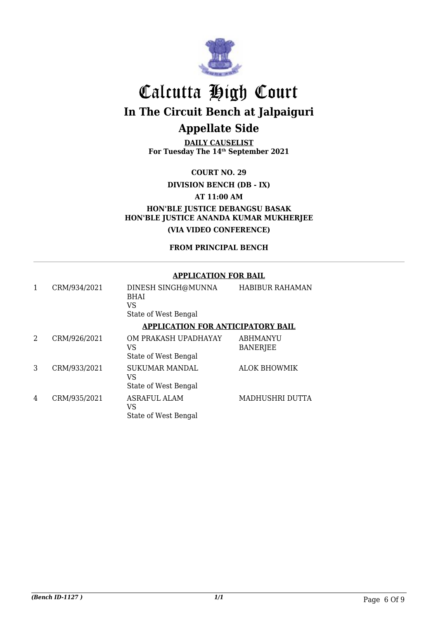

**DAILY CAUSELIST For Tuesday The 14th September 2021**

**COURT NO. 29**

**DIVISION BENCH (DB - IX)**

**AT 11:00 AM**

**HON'BLE JUSTICE DEBANGSU BASAK HON'BLE JUSTICE ANANDA KUMAR MUKHERJEE (VIA VIDEO CONFERENCE)**

**FROM PRINCIPAL BENCH**

#### **APPLICATION FOR BAIL**

|   | CRM/934/2021 | DINESH SINGH@MUNNA<br><b>BHAI</b><br>VS<br>State of West Bengal | <b>HABIBUR RAHAMAN</b>             |
|---|--------------|-----------------------------------------------------------------|------------------------------------|
|   |              | <b>APPLICATION FOR ANTICIPATORY BAIL</b>                        |                                    |
| 2 | CRM/926/2021 | OM PRAKASH UPADHAYAY<br>VS<br>State of West Bengal              | <b>ABHMANYU</b><br><b>BANERJEE</b> |
| 3 | CRM/933/2021 | <b>SUKUMAR MANDAL</b><br>VS<br>State of West Bengal             | <b>ALOK BHOWMIK</b>                |
| 4 | CRM/935/2021 | <b>ASRAFUL ALAM</b><br>VS<br>State of West Bengal               | MADHUSHRI DUTTA                    |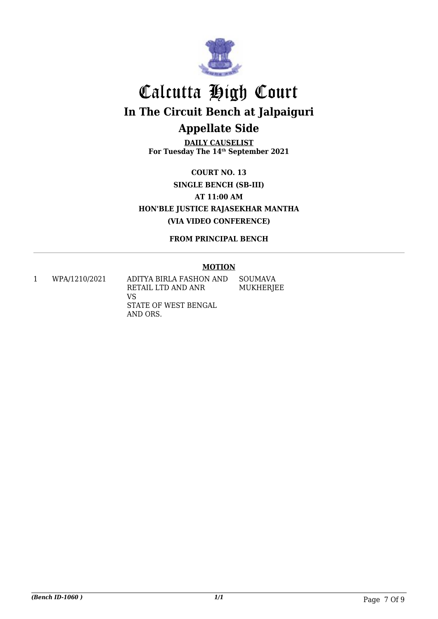

**DAILY CAUSELIST For Tuesday The 14th September 2021**

**COURT NO. 13 SINGLE BENCH (SB-III) AT 11:00 AM HON'BLE JUSTICE RAJASEKHAR MANTHA (VIA VIDEO CONFERENCE)**

**FROM PRINCIPAL BENCH**

#### **MOTION**

1 WPA/1210/2021 ADITYA BIRLA FASHON AND RETAIL LTD AND ANR VS STATE OF WEST BENGAL AND ORS. SOUMAVA MUKHERJEE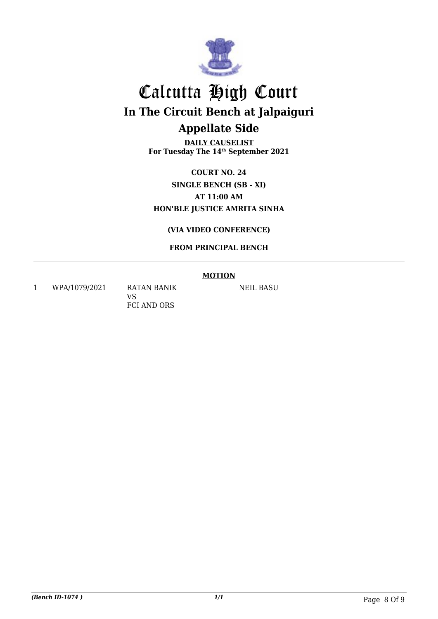

**DAILY CAUSELIST For Tuesday The 14th September 2021**

**COURT NO. 24 SINGLE BENCH (SB - XI) AT 11:00 AM HON'BLE JUSTICE AMRITA SINHA**

### **(VIA VIDEO CONFERENCE)**

### **FROM PRINCIPAL BENCH**

#### **MOTION**

1 WPA/1079/2021 RATAN BANIK

VS FCI AND ORS NEIL BASU